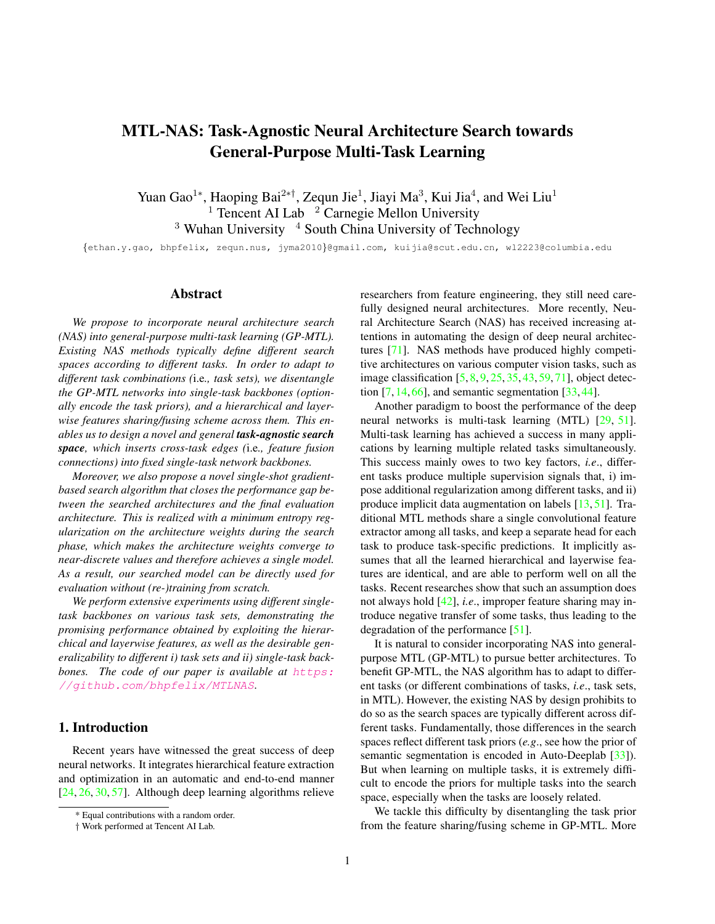# <span id="page-0-2"></span>MTL-NAS: Task-Agnostic Neural Architecture Search towards General-Purpose Multi-Task Learning

Yuan Gao<sup>1</sup>\*, Haoping Bai<sup>2\*†</sup>, Zequn Jie<sup>1</sup>, Jiayi Ma<sup>3</sup>, Kui Jia<sup>4</sup>, and Wei Liu<sup>1</sup> <sup>1</sup> Tencent AI Lab  $\frac{2^2}{2}$  Carnegie Mellon University  $3$  Wuhan University  $4$  South China University of Technology

{ethan.y.gao, bhpfelix, zequn.nus, jyma2010}@gmail.com, kuijia@scut.edu.cn, wl2223@columbia.edu

## Abstract

*We propose to incorporate neural architecture search (NAS) into general-purpose multi-task learning (GP-MTL). Existing NAS methods typically define different search spaces according to different tasks. In order to adapt to different task combinations (*i.e*., task sets), we disentangle the GP-MTL networks into single-task backbones (optionally encode the task priors), and a hierarchical and layerwise features sharing/fusing scheme across them. This enables us to design a novel and general task-agnostic search space, which inserts cross-task edges (*i.e*., feature fusion connections) into fixed single-task network backbones.*

*Moreover, we also propose a novel single-shot gradientbased search algorithm that closes the performance gap between the searched architectures and the final evaluation architecture. This is realized with a minimum entropy regularization on the architecture weights during the search phase, which makes the architecture weights converge to near-discrete values and therefore achieves a single model. As a result, our searched model can be directly used for evaluation without (re-)training from scratch.*

*We perform extensive experiments using different singletask backbones on various task sets, demonstrating the promising performance obtained by exploiting the hierarchical and layerwise features, as well as the desirable generalizability to different i) task sets and ii) single-task backbones.* The code of our paper is available at [https:](https://github.com/bhpfelix/MTLNAS) [//github.com/bhpfelix/MTLNAS](https://github.com/bhpfelix/MTLNAS)*.*

# 1. Introduction

Recen[t](#page-0-0) years have witnessed the great success of deep neural networks. It integrates hierarchical feature extraction and optimization in an automatic and end-to-end manner [\[24,](#page-8-0) [26,](#page-8-1) [30,](#page-8-2) [57\]](#page-9-0). Although deep learning algorithms relieve researchers from feature engineering, they still need carefully designed neural architectures. More recently, Neural Architecture Search (NAS) has received increasing attentions in automating the design of deep neural architectures [\[71\]](#page-9-1). NAS methods have produced highly competitive architectures on various computer vision tasks, such as image classification [\[5,](#page-8-3) [8,](#page-8-4) [9,](#page-8-5) [25,](#page-8-6) [35,](#page-8-7) [43,](#page-9-2) [59,](#page-9-3) [71\]](#page-9-1), object detection  $[7, 14, 66]$  $[7, 14, 66]$  $[7, 14, 66]$  $[7, 14, 66]$  $[7, 14, 66]$ , and semantic segmentation  $[33, 44]$  $[33, 44]$  $[33, 44]$ .

Another paradigm to boost the performance of the deep neural networks is multi-task learning (MTL) [\[29,](#page-8-11) [51\]](#page-9-6). Multi-task learning has achieved a success in many applications by learning multiple related tasks simultaneously. This success mainly owes to two key factors, *i.e*., different tasks produce multiple supervision signals that, i) impose additional regularization among different tasks, and ii) produce implicit data augmentation on labels [\[13,](#page-8-12) [51\]](#page-9-6). Traditional MTL methods share a single convolutional feature extractor among all tasks, and keep a separate head for each task to produce task-specific predictions. It implicitly assumes that all the learned hierarchical and layerwise features are identical, and are able to perform well on all the tasks. Recent researches show that such an assumption does not always hold [\[42\]](#page-9-7), *i.e*., improper feature sharing may introduce negative transfer of some tasks, thus leading to the degradation of the performance [\[51\]](#page-9-6).

It is natural to consider incorporating NAS into generalpurpose MTL (GP-MTL) to pursue better architectures. To benefit GP-MTL, the NAS algorithm has to adapt to different tasks (or different combinations of tasks, *i.e*., task sets, in MTL). However, the existing NAS by design prohibits to do so as the search spaces are typically different across different tasks. Fundamentally, those differences in the search spaces reflect different task priors (*e.g*., see how the prior of semantic segmentation is encoded in Auto-Deeplab [\[33\]](#page-8-10)). But when learning on multiple tasks, it is extremely difficult to encode the priors for multiple tasks into the search space, especially when the tasks are loosely related.

We tackle this difficulty by disentangling the task prior from the feature sharing/fusing scheme in GP-MTL. More

<span id="page-0-0"></span><sup>\*</sup> Equal contributions with a random order.

<span id="page-0-1"></span><sup>†</sup> Work performed at Tencent AI Lab.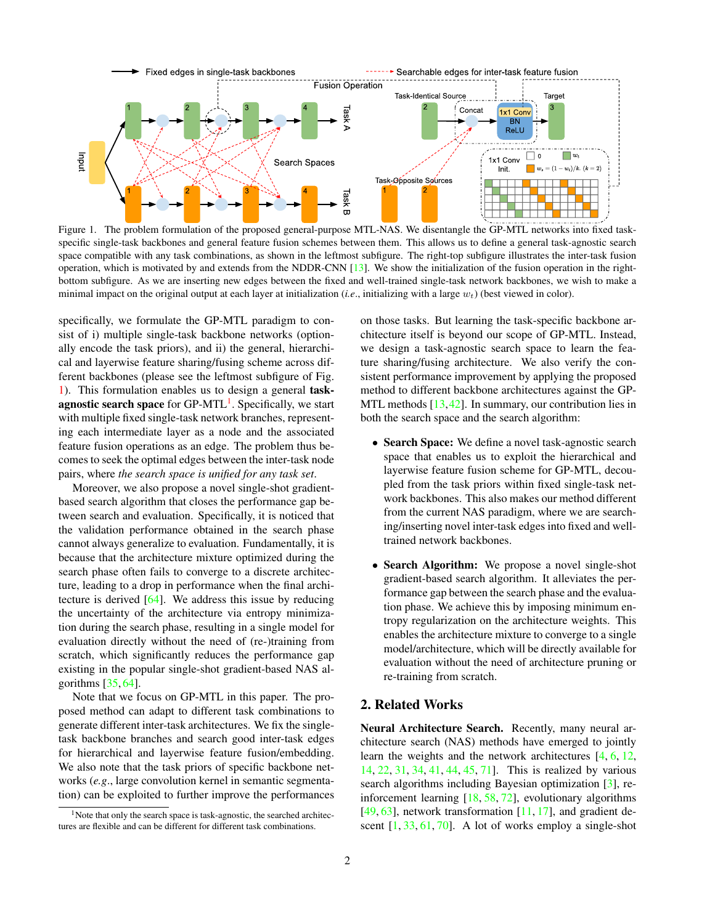<span id="page-1-2"></span>

<span id="page-1-0"></span>Figure 1. The problem formulation of the proposed general-purpose MTL-NAS. We disentangle the GP-MTL networks into fixed taskspecific single-task backbones and general feature fusion schemes between them. This allows us to define a general task-agnostic search space compatible with any task combinations, as shown in the leftmost subfigure. The right-top subfigure illustrates the inter-task fusion operation, which is motivated by and extends from the NDDR-CNN [\[13\]](#page-8-12). We show the initialization of the fusion operation in the rightbottom subfigure. As we are inserting new edges between the fixed and well-trained single-task network backbones, we wish to make a minimal impact on the original output at each layer at initialization (*i.e.*, initializing with a large  $w_t$ ) (best viewed in color).

specifically, we formulate the GP-MTL paradigm to consist of i) multiple single-task backbone networks (optionally encode the task priors), and ii) the general, hierarchical and layerwise feature sharing/fusing scheme across different backbones (please see the leftmost subfigure of Fig. [1\)](#page-1-0). This formulation enables us to design a general task-agnostic search space for GP-MTL<sup>[1](#page-1-1)</sup>. Specifically, we start with multiple fixed single-task network branches, representing each intermediate layer as a node and the associated feature fusion operations as an edge. The problem thus becomes to seek the optimal edges between the inter-task node pairs, where *the search space is unified for any task set*.

Moreover, we also propose a novel single-shot gradientbased search algorithm that closes the performance gap between search and evaluation. Specifically, it is noticed that the validation performance obtained in the search phase cannot always generalize to evaluation. Fundamentally, it is because that the architecture mixture optimized during the search phase often fails to converge to a discrete architecture, leading to a drop in performance when the final architecture is derived [\[64\]](#page-9-8). We address this issue by reducing the uncertainty of the architecture via entropy minimization during the search phase, resulting in a single model for evaluation directly without the need of (re-)training from scratch, which significantly reduces the performance gap existing in the popular single-shot gradient-based NAS algorithms  $[35, 64]$  $[35, 64]$  $[35, 64]$ .

Note that we focus on GP-MTL in this paper. The proposed method can adapt to different task combinations to generate different inter-task architectures. We fix the singletask backbone branches and search good inter-task edges for hierarchical and layerwise feature fusion/embedding. We also note that the task priors of specific backbone networks (*e.g*., large convolution kernel in semantic segmentation) can be exploited to further improve the performances on those tasks. But learning the task-specific backbone architecture itself is beyond our scope of GP-MTL. Instead, we design a task-agnostic search space to learn the feature sharing/fusing architecture. We also verify the consistent performance improvement by applying the proposed method to different backbone architectures against the GP-MTL methods [\[13,](#page-8-12)[42\]](#page-9-7). In summary, our contribution lies in both the search space and the search algorithm:

- Search Space: We define a novel task-agnostic search space that enables us to exploit the hierarchical and layerwise feature fusion scheme for GP-MTL, decoupled from the task priors within fixed single-task network backbones. This also makes our method different from the current NAS paradigm, where we are searching/inserting novel inter-task edges into fixed and welltrained network backbones.
- Search Algorithm: We propose a novel single-shot gradient-based search algorithm. It alleviates the performance gap between the search phase and the evaluation phase. We achieve this by imposing minimum entropy regularization on the architecture weights. This enables the architecture mixture to converge to a single model/architecture, which will be directly available for evaluation without the need of architecture pruning or re-training from scratch.

## 2. Related Works

Neural Architecture Search. Recently, many neural architecture search (NAS) methods have emerged to jointly learn the weights and the network architectures [\[4,](#page-8-13) [6,](#page-8-14) [12,](#page-8-15) [14,](#page-8-9) [22,](#page-8-16) [31,](#page-8-17) [34,](#page-8-18) [41,](#page-9-9) [44,](#page-9-5) [45,](#page-9-10) [71\]](#page-9-1). This is realized by various search algorithms including Bayesian optimization [\[3\]](#page-8-19), reinforcement learning [\[18,](#page-8-20) [58,](#page-9-11) [72\]](#page-9-12), evolutionary algorithms [\[49,](#page-9-13) [63\]](#page-9-14), network transformation  $[11, 17]$  $[11, 17]$  $[11, 17]$ , and gradient descent  $[1, 33, 61, 70]$  $[1, 33, 61, 70]$  $[1, 33, 61, 70]$  $[1, 33, 61, 70]$  $[1, 33, 61, 70]$  $[1, 33, 61, 70]$  $[1, 33, 61, 70]$ . A lot of works employ a single-shot

<span id="page-1-1"></span><sup>&</sup>lt;sup>1</sup>Note that only the search space is task-agnostic, the searched architectures are flexible and can be different for different task combinations.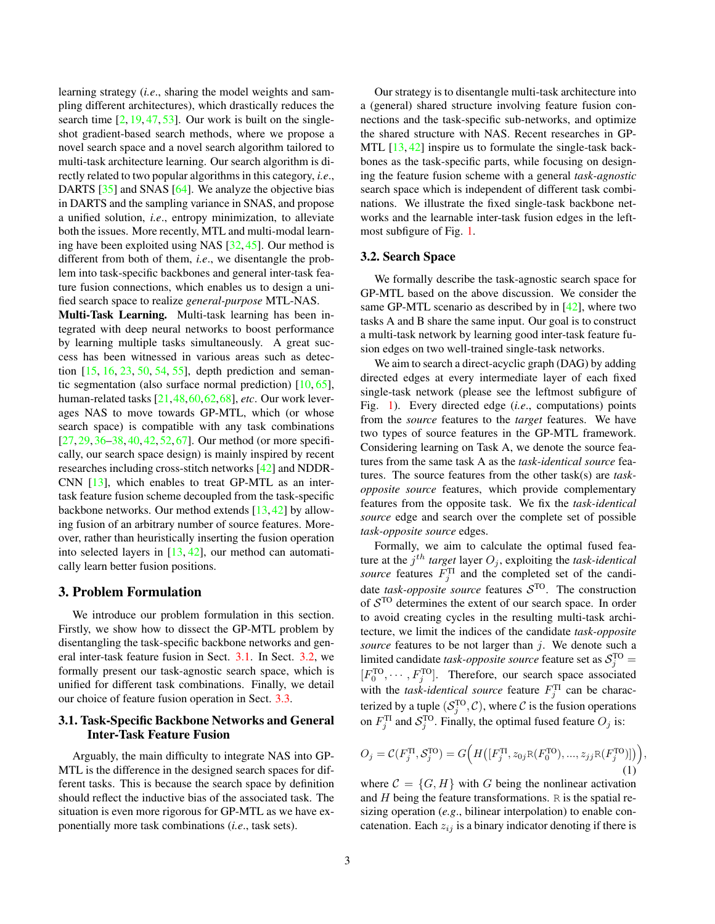<span id="page-2-3"></span>learning strategy (*i.e*., sharing the model weights and sampling different architectures), which drastically reduces the search time  $[2, 19, 47, 53]$  $[2, 19, 47, 53]$  $[2, 19, 47, 53]$  $[2, 19, 47, 53]$  $[2, 19, 47, 53]$  $[2, 19, 47, 53]$  $[2, 19, 47, 53]$ . Our work is built on the singleshot gradient-based search methods, where we propose a novel search space and a novel search algorithm tailored to multi-task architecture learning. Our search algorithm is directly related to two popular algorithms in this category, *i.e*., DARTS [\[35\]](#page-8-7) and SNAS [\[64\]](#page-9-8). We analyze the objective bias in DARTS and the sampling variance in SNAS, and propose a unified solution, *i.e*., entropy minimization, to alleviate both the issues. More recently, MTL and multi-modal learning have been exploited using NAS [\[32,](#page-8-26) [45\]](#page-9-10). Our method is different from both of them, *i.e*., we disentangle the problem into task-specific backbones and general inter-task feature fusion connections, which enables us to design a unified search space to realize *general-purpose* MTL-NAS.

Multi-Task Learning. Multi-task learning has been integrated with deep neural networks to boost performance by learning multiple tasks simultaneously. A great success has been witnessed in various areas such as detection [\[15,](#page-8-27) [16,](#page-8-28) [23,](#page-8-29) [50,](#page-9-19) [54,](#page-9-20) [55\]](#page-9-21), depth prediction and semantic segmentation (also surface normal prediction)  $[10, 65]$  $[10, 65]$  $[10, 65]$ , human-related tasks [\[21,](#page-8-31)[48,](#page-9-23)[60,](#page-9-24)[62,](#page-9-25)[68\]](#page-9-26), *etc*. Our work leverages NAS to move towards GP-MTL, which (or whose search space) is compatible with any task combinations  $[27, 29, 36-38, 40, 42, 52, 67]$  $[27, 29, 36-38, 40, 42, 52, 67]$  $[27, 29, 36-38, 40, 42, 52, 67]$  $[27, 29, 36-38, 40, 42, 52, 67]$  $[27, 29, 36-38, 40, 42, 52, 67]$  $[27, 29, 36-38, 40, 42, 52, 67]$  $[27, 29, 36-38, 40, 42, 52, 67]$  $[27, 29, 36-38, 40, 42, 52, 67]$  $[27, 29, 36-38, 40, 42, 52, 67]$  $[27, 29, 36-38, 40, 42, 52, 67]$  $[27, 29, 36-38, 40, 42, 52, 67]$  $[27, 29, 36-38, 40, 42, 52, 67]$  $[27, 29, 36-38, 40, 42, 52, 67]$ . Our method (or more specifically, our search space design) is mainly inspired by recent researches including cross-stitch networks [\[42\]](#page-9-7) and NDDR-CNN [\[13\]](#page-8-12), which enables to treat GP-MTL as an intertask feature fusion scheme decoupled from the task-specific backbone networks. Our method extends [\[13,](#page-8-12) [42\]](#page-9-7) by allowing fusion of an arbitrary number of source features. Moreover, rather than heuristically inserting the fusion operation into selected layers in [\[13,](#page-8-12) [42\]](#page-9-7), our method can automatically learn better fusion positions.

## 3. Problem Formulation

We introduce our problem formulation in this section. Firstly, we show how to dissect the GP-MTL problem by disentangling the task-specific backbone networks and general inter-task feature fusion in Sect. [3.1.](#page-2-0) In Sect. [3.2,](#page-2-1) we formally present our task-agnostic search space, which is unified for different task combinations. Finally, we detail our choice of feature fusion operation in Sect. [3.3.](#page-3-0)

## <span id="page-2-0"></span>3.1. Task-Specific Backbone Networks and General Inter-Task Feature Fusion

Arguably, the main difficulty to integrate NAS into GP-MTL is the difference in the designed search spaces for different tasks. This is because the search space by definition should reflect the inductive bias of the associated task. The situation is even more rigorous for GP-MTL as we have exponentially more task combinations (*i.e*., task sets).

Our strategy is to disentangle multi-task architecture into a (general) shared structure involving feature fusion connections and the task-specific sub-networks, and optimize the shared structure with NAS. Recent researches in GP-MTL [\[13,](#page-8-12) [42\]](#page-9-7) inspire us to formulate the single-task backbones as the task-specific parts, while focusing on designing the feature fusion scheme with a general *task-agnostic* search space which is independent of different task combinations. We illustrate the fixed single-task backbone networks and the learnable inter-task fusion edges in the leftmost subfigure of Fig. [1.](#page-1-0)

## <span id="page-2-1"></span>3.2. Search Space

We formally describe the task-agnostic search space for GP-MTL based on the above discussion. We consider the same GP-MTL scenario as described by in [\[42\]](#page-9-7), where two tasks A and B share the same input. Our goal is to construct a multi-task network by learning good inter-task feature fusion edges on two well-trained single-task networks.

We aim to search a direct-acyclic graph (DAG) by adding directed edges at every intermediate layer of each fixed single-task network (please see the leftmost subfigure of Fig. [1\)](#page-1-0). Every directed edge (*i.e*., computations) points from the *source* features to the *target* features. We have two types of source features in the GP-MTL framework. Considering learning on Task A, we denote the source features from the same task A as the *task-identical source* features. The source features from the other task(s) are *taskopposite source* features, which provide complementary features from the opposite task. We fix the *task-identical source* edge and search over the complete set of possible *task-opposite source* edges.

Formally, we aim to calculate the optimal fused feature at the  $j^{th}$  *target* layer  $O_j$ , exploiting the *task-identical source* features  $F_j^{\text{T}}$  and the completed set of the candidate *task-opposite source* features  $S<sup>To</sup>$ . The construction of  $S<sup>TO</sup>$  determines the extent of our search space. In order to avoid creating cycles in the resulting multi-task architecture, we limit the indices of the candidate *task-opposite source* features to be not larger than j. We denote such a limited candidate *task-opposite source* feature set as  $S_j^{\text{TO}} =$  $[F_0^{\text{TO}}, \cdots, F_j^{\text{TO}}]$ . Therefore, our search space associated with the *task-identical source* feature  $F_j^{\text{TI}}$  can be characterized by a tuple  $(S_j^{\text{TO}}, \mathcal{C})$ , where  $\mathcal C$  is the fusion operations on  $F_j^{\text{TI}}$  and  $S_j^{\text{TO}}$ . Finally, the optimal fused feature  $O_j$  is:

<span id="page-2-2"></span>
$$
O_j = C(F_j^{\text{TI}}, S_j^{\text{TO}}) = G\Big(H([F_j^{\text{TI}}, z_{0j}R(F_0^{\text{TO}}), ..., z_{jj}R(F_j^{\text{TO}})])\Big),\tag{1}
$$

where  $C = \{G, H\}$  with G being the nonlinear activation and  $H$  being the feature transformations.  $R$  is the spatial resizing operation (*e.g*., bilinear interpolation) to enable concatenation. Each  $z_{ij}$  is a binary indicator denoting if there is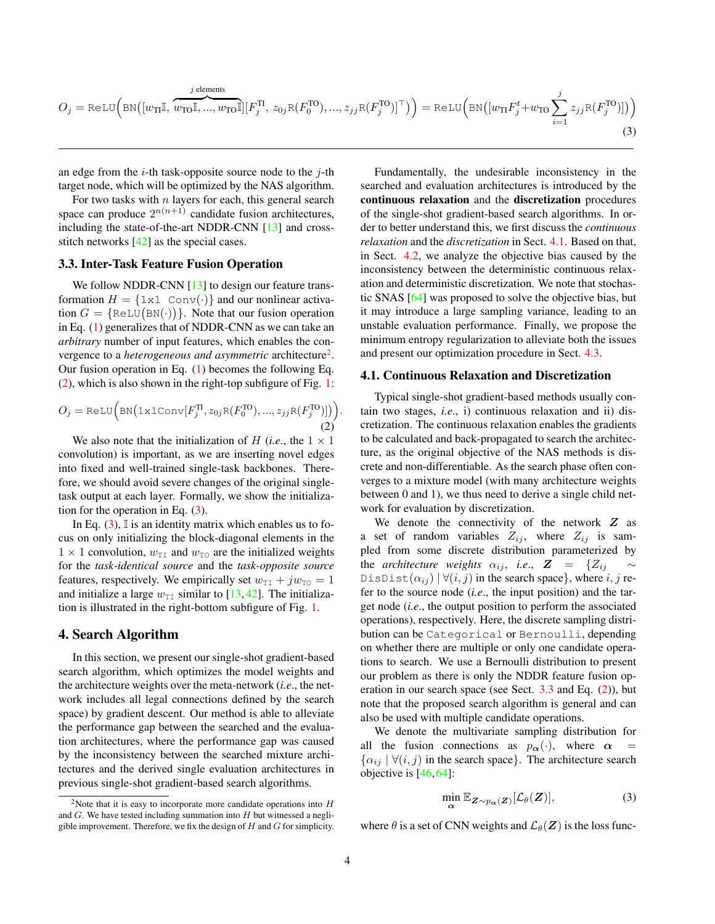<span id="page-3-6"></span><span id="page-3-3"></span>
$$
O_j = \text{ReLU}\Big(\text{BN}\big([w_{\text{TI}}\mathbb{I}, \overbrace{w_{\text{TO}}\mathbb{I}, ..., w_{\text{TO}}\mathbb{I}]}^{j \text{ elements}}[F_j^{\text{TI}}, z_{0j}\text{R}(F_0^{\text{TO}}), ..., z_{jj}\text{R}(F_j^{\text{TO}})]^{\top}\Big)\Big) = \text{ReLU}\Big(\text{BN}\big([w_{\text{TI}}F_j^t + w_{\text{TO}}\sum_{i=1}^j z_{jj}\text{R}(F_j^{\text{TO}})]\big)\Big) \tag{3}
$$

.

an edge from the  $i$ -th task-opposite source node to the  $j$ -th target node, which will be optimized by the NAS algorithm.

For two tasks with  $n$  layers for each, this general search space can produce  $2^{n(n+1)}$  candidate fusion architectures, including the state-of-the-art NDDR-CNN [\[13\]](#page-8-12) and crossstitch networks [\[42\]](#page-9-7) as the special cases.

## <span id="page-3-0"></span>3.3. Inter-Task Feature Fusion Operation

We follow NDDR-CNN  $[13]$  to design our feature transformation  $H = \{1 \times 1 \text{ Conv}(\cdot)\}\$ and our nonlinear activation  $G = \{ \text{ReLU}(\text{BN}(\cdot)) \}.$  Note that our fusion operation in Eq. [\(1\)](#page-2-2) generalizes that of NDDR-CNN as we can take an *arbitrary* number of input features, which enables the convergence to a *heterogeneous and asymmetric* architecture<sup>[2](#page-3-1)</sup>. Our fusion operation in Eq. [\(1\)](#page-2-2) becomes the following Eq. [\(2\)](#page-3-2), which is also shown in the right-top subfigure of Fig. [1:](#page-1-0)

<span id="page-3-2"></span>
$$
O_j = \text{ReLU}\Big(\text{BN}\big(\text{1x1Conv}[F_j^{\text{TI}}, z_{0j}\text{R}(F_0^{\text{TO}}), ..., z_{jj}\text{R}(F_j^{\text{TO}})]\big)\Big) \tag{2}
$$

We also note that the initialization of H (*i.e.*, the  $1 \times 1$ convolution) is important, as we are inserting novel edges into fixed and well-trained single-task backbones. Therefore, we should avoid severe changes of the original singletask output at each layer. Formally, we show the initialization for the operation in Eq.  $(3)$ .

In Eq.  $(3)$ , I is an identity matrix which enables us to focus on only initializing the block-diagonal elements in the  $1 \times 1$  convolution,  $w_{\text{TI}}$  and  $w_{\text{TO}}$  are the initialized weights for the *task-identical source* and the *task-opposite source* features, respectively. We empirically set  $w_{\text{TI}} + jw_{\text{TO}} = 1$ and initialize a large  $w_{\text{TI}}$  similar to [\[13,](#page-8-12) [42\]](#page-9-7). The initialization is illustrated in the right-bottom subfigure of Fig. [1.](#page-1-0)

## 4. Search Algorithm

In this section, we present our single-shot gradient-based search algorithm, which optimizes the model weights and the architecture weights over the meta-network (*i.e*., the network includes all legal connections defined by the search space) by gradient descent. Our method is able to alleviate the performance gap between the searched and the evaluation architectures, where the performance gap was caused by the inconsistency between the searched mixture architectures and the derived single evaluation architectures in previous single-shot gradient-based search algorithms.

Fundamentally, the undesirable inconsistency in the searched and evaluation architectures is introduced by the continuous relaxation and the discretization procedures of the single-shot gradient-based search algorithms. In order to better understand this, we first discuss the *continuous relaxation* and the *discretization* in Sect. [4.1.](#page-3-4) Based on that, in Sect. [4.2,](#page-4-0) we analyze the objective bias caused by the inconsistency between the deterministic continuous relaxation and deterministic discretization. We note that stochastic SNAS [\[64\]](#page-9-8) was proposed to solve the objective bias, but it may introduce a large sampling variance, leading to an unstable evaluation performance. Finally, we propose the minimum entropy regularization to alleviate both the issues and present our optimization procedure in Sect. [4.3.](#page-5-0)

#### <span id="page-3-4"></span>4.1. Continuous Relaxation and Discretization

Typical single-shot gradient-based methods usually contain two stages, *i.e*., i) continuous relaxation and ii) discretization. The continuous relaxation enables the gradients to be calculated and back-propagated to search the architecture, as the original objective of the NAS methods is discrete and non-differentiable. As the search phase often converges to a mixture model (with many architecture weights between 0 and 1), we thus need to derive a single child network for evaluation by discretization.

We denote the connectivity of the network  $Z$  as a set of random variables  $Z_{ij}$ , where  $Z_{ij}$  is sampled from some discrete distribution parameterized by the *architecture weights*  $\alpha_{ij}$ , *i.e.*,  $\mathbf{Z} = \{Z_{ij}\}$ DisDist $(\alpha_{ij})$   $\forall (i, j)$  in the search space}, where i, j refer to the source node (*i.e*., the input position) and the target node (*i.e*., the output position to perform the associated operations), respectively. Here, the discrete sampling distribution can be Categorical or Bernoulli, depending on whether there are multiple or only one candidate operations to search. We use a Bernoulli distribution to present our problem as there is only the NDDR feature fusion operation in our search space (see Sect. [3.3](#page-3-0) and Eq. [\(2\)](#page-3-2)), but note that the proposed search algorithm is general and can also be used with multiple candidate operations.

We denote the multivariate sampling distribution for all the fusion connections as  $p_{\alpha}(\cdot)$ , where  $\alpha$  $\{\alpha_{ij} \mid \forall (i, j)$  in the search space}. The architecture search objective is [\[46,](#page-9-31) [64\]](#page-9-8):

<span id="page-3-5"></span>
$$
\min_{\mathbf{\alpha}} \mathbb{E}_{\mathbf{Z} \sim p_{\mathbf{\alpha}}(\mathbf{Z})}[\mathcal{L}_{\theta}(\mathbf{Z})],\tag{3}
$$

where  $\theta$  is a set of CNN weights and  $\mathcal{L}_{\theta}(\mathbf{Z})$  is the loss func-

<span id="page-3-1"></span><sup>&</sup>lt;sup>2</sup>Note that it is easy to incorporate more candidate operations into  $H$ and  $G$ . We have tested including summation into  $H$  but witnessed a negligible improvement. Therefore, we fix the design of  $H$  and  $G$  for simplicity.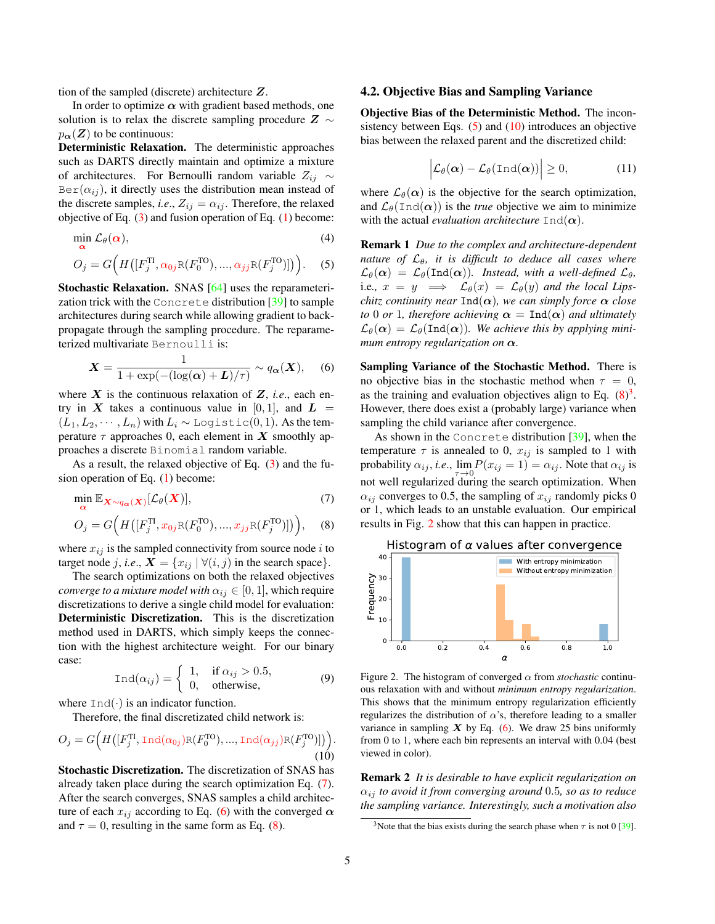<span id="page-4-8"></span>tion of the sampled (discrete) architecture Z.

In order to optimize  $\alpha$  with gradient based methods, one solution is to relax the discrete sampling procedure  $Z \sim$  $p_{\alpha}(Z)$  to be continuous:

Deterministic Relaxation. The deterministic approaches such as DARTS directly maintain and optimize a mixture of architectures. For Bernoulli random variable  $Z_{ij} \sim$  $Ber(\alpha_{ij})$ , it directly uses the distribution mean instead of the discrete samples, *i.e.*,  $Z_{ij} = \alpha_{ij}$ . Therefore, the relaxed objective of Eq.  $(3)$  and fusion operation of Eq.  $(1)$  become:

$$
\min_{\alpha} \mathcal{L}_{\theta}(\alpha),\tag{4}
$$

$$
O_j = G\Big(H\big([F_j^{\text{TI}}, \alpha_{0j}R(F_0^{\text{TO}}), ..., \alpha_{jj}R(F_j^{\text{TO}})]\big)\Big).
$$
 (5)

Stochastic Relaxation. SNAS [\[64\]](#page-9-8) uses the reparameterization trick with the Concrete distribution [\[39\]](#page-9-32) to sample architectures during search while allowing gradient to backpropagate through the sampling procedure. The reparameterized multivariate Bernoulli is:

<span id="page-4-2"></span>
$$
X = \frac{1}{1 + \exp(-(\log(\alpha) + L)/\tau)} \sim q_{\alpha}(X), \quad (6)
$$

where  $X$  is the continuous relaxation of  $Z$ , *i.e.*, each entry in X takes a continuous value in [0, 1], and  $L =$  $(L_1, L_2, \cdots, L_n)$  with  $L_i \sim$  Logistic $(0, 1)$ . As the temperature  $\tau$  approaches 0, each element in X smoothly approaches a discrete Binomial random variable.

As a result, the relaxed objective of Eq. [\(3\)](#page-3-5) and the fusion operation of Eq. [\(1\)](#page-2-2) become:

$$
\min_{\mathbf{\alpha}} \mathbb{E}_{\mathbf{X} \sim q_{\mathbf{\alpha}}(\mathbf{X})}[\mathcal{L}_{\theta}(\mathbf{X})],\tag{7}
$$

$$
O_j = G\Big(H([F_j^{\text{TI}}, x_{0j} \text{R}(F_0^{\text{TO}}), ..., x_{jj} \text{R}(F_j^{\text{TO}})])\Big), \quad (8)
$$

where  $x_{ij}$  is the sampled connectivity from source node i to target node j, *i.e.*,  $X = \{x_{ij} | \forall (i, j) \text{ in the search space} \}.$ 

The search optimizations on both the relaxed objectives *converge to a mixture model with*  $\alpha_{ij} \in [0, 1]$ , which require discretizations to derive a single child model for evaluation: Deterministic Discretization. This is the discretization method used in DARTS, which simply keeps the connection with the highest architecture weight. For our binary case:

$$
\text{Ind}(\alpha_{ij}) = \begin{cases} 1, & \text{if } \alpha_{ij} > 0.5, \\ 0, & \text{otherwise,} \end{cases}
$$
(9)

where  $Ind(\cdot)$  is an indicator function.

Therefore, the final discretizated child network is:

<span id="page-4-5"></span>
$$
O_j = G\Big(H\big([F_j^{\Pi}, \text{Ind}(\alpha_{0j})\mathbb{R}(F_0^{\text{TO}}), ..., \text{Ind}(\alpha_{jj})\mathbb{R}(F_j^{\text{TO}})]\big)\Big).
$$
\n(10)

Stochastic Discretization. The discretization of SNAS has already taken place during the search optimization Eq. [\(7\)](#page-4-1). After the search converges, SNAS samples a child architecture of each  $x_{ij}$  according to Eq. [\(6\)](#page-4-2) with the converged  $\alpha$ and  $\tau = 0$ , resulting in the same form as Eq. [\(8\)](#page-4-3).

#### <span id="page-4-0"></span>4.2. Objective Bias and Sampling Variance

Objective Bias of the Deterministic Method. The inconsistency between Eqs.  $(5)$  and  $(10)$  introduces an objective bias between the relaxed parent and the discretized child:

$$
\left| \mathcal{L}_{\theta}(\boldsymbol{\alpha}) - \mathcal{L}_{\theta}(\text{Ind}(\boldsymbol{\alpha})) \right| \geq 0, \tag{11}
$$

where  $\mathcal{L}_{\theta}(\alpha)$  is the objective for the search optimization, and  $\mathcal{L}_{\theta}(\text{Ind}(\alpha))$  is the *true* objective we aim to minimize with the actual *evaluation architecture*  $Ind(\alpha)$ .

<span id="page-4-4"></span>Remark 1 *Due to the complex and architecture-dependent nature of*  $\mathcal{L}_{\theta}$ , it is difficult to deduce all cases where  $\mathcal{L}_{\theta}(\alpha) = \mathcal{L}_{\theta}(\text{Ind}(\alpha)).$  Instead, with a well-defined  $\mathcal{L}_{\theta}$ , i.e.,  $x = y \implies \mathcal{L}_{\theta}(x) = \mathcal{L}_{\theta}(y)$  *and the local Lipschitz continuity near*  $\text{Ind}(\alpha)$ *, we can simply force*  $\alpha$  *close to* 0 *or* 1*, therefore achieving*  $\alpha = \text{Ind}(\alpha)$  *and ultimately*  $\mathcal{L}_{\theta}(\alpha) = \mathcal{L}_{\theta}(\text{Ind}(\alpha)).$  We achieve this by applying mini*mum entropy regularization on* α*.*

Sampling Variance of the Stochastic Method. There is no objective bias in the stochastic method when  $\tau = 0$ , as the training and evaluation objectives align to Eq.  $(8)^3$  $(8)^3$  $(8)^3$ . However, there does exist a (probably large) variance when sampling the child variance after convergence.

<span id="page-4-1"></span>As shown in the Concrete distribution [\[39\]](#page-9-32), when the temperature  $\tau$  is annealed to 0,  $x_{ij}$  is sampled to 1 with probability  $\alpha_{ij}$ , *i.e.*,  $\lim_{\tau \to 0} P(x_{ij} = 1) = \alpha_{ij}$ . Note that  $\alpha_{ij}$  is not well regularized during the search optimization. When  $\alpha_{ij}$  converges to 0.5, the sampling of  $x_{ij}$  randomly picks 0 or 1, which leads to an unstable evaluation. Our empirical results in Fig. [2](#page-4-7) show that this can happen in practice.

<span id="page-4-3"></span>

<span id="page-4-7"></span>Figure 2. The histogram of converged  $\alpha$  from *stochastic* continuous relaxation with and without *minimum entropy regularization*. This shows that the minimum entropy regularization efficiently regularizes the distribution of  $\alpha$ 's, therefore leading to a smaller variance in sampling  $X$  by Eq. [\(6\)](#page-4-2). We draw 25 bins uniformly from 0 to 1, where each bin represents an interval with 0.04 (best viewed in color).

Remark 2 *It is desirable to have explicit regularization on* αij *to avoid it from converging around* 0.5*, so as to reduce the sampling variance. Interestingly, such a motivation also*

<span id="page-4-6"></span><sup>&</sup>lt;sup>3</sup>Note that the bias exists during the search phase when  $\tau$  is not 0 [\[39\]](#page-9-32).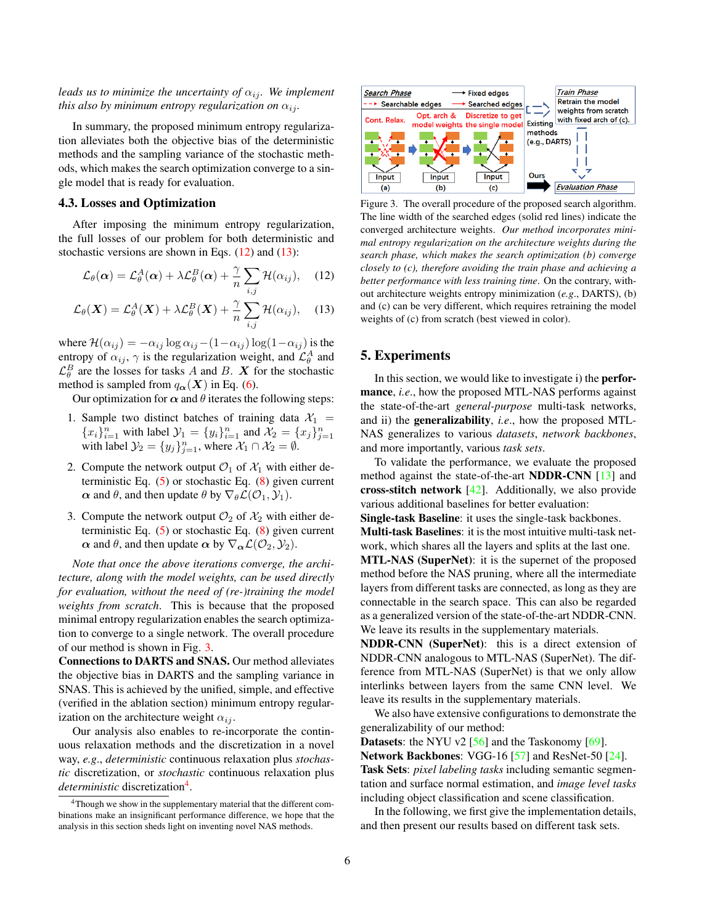<span id="page-5-5"></span>*leads us to minimize the uncertainty of*  $\alpha_{ij}$ *. We implement this also by minimum entropy regularization on*  $\alpha_{ij}$ *.* 

In summary, the proposed minimum entropy regularization alleviates both the objective bias of the deterministic methods and the sampling variance of the stochastic methods, which makes the search optimization converge to a single model that is ready for evaluation.

#### <span id="page-5-0"></span>4.3. Losses and Optimization

After imposing the minimum entropy regularization, the full losses of our problem for both deterministic and stochastic versions are shown in Eqs.  $(12)$  and  $(13)$ :

$$
\mathcal{L}_{\theta}(\alpha) = \mathcal{L}_{\theta}^{A}(\alpha) + \lambda \mathcal{L}_{\theta}^{B}(\alpha) + \frac{\gamma}{n} \sum_{i,j} \mathcal{H}(\alpha_{ij}), \quad (12)
$$

$$
\mathcal{L}_{\theta}(\boldsymbol{X}) = \mathcal{L}_{\theta}^{A}(\boldsymbol{X}) + \lambda \mathcal{L}_{\theta}^{B}(\boldsymbol{X}) + \frac{\gamma}{n} \sum_{i,j} \mathcal{H}(\alpha_{ij}), \quad (13)
$$

where  $\mathcal{H}(\alpha_{ij}) = -\alpha_{ij} \log \alpha_{ij} - (1-\alpha_{ij}) \log(1-\alpha_{ij})$  is the entropy of  $\alpha_{ij}$ ,  $\gamma$  is the regularization weight, and  $\mathcal{L}_{\theta}^A$  and  $\mathcal{L}_{\theta}^{B}$  are the losses for tasks A and B. X for the stochastic method is sampled from  $q_{\alpha}(X)$  in Eq. [\(6\)](#page-4-2).

Our optimization for  $\alpha$  and  $\theta$  iterates the following steps:

- 1. Sample two distinct batches of training data  $\mathcal{X}_1$  =  ${x_i}_{i=1}^n$  with label  $\mathcal{Y}_1 = {y_i}_{i=1}^n$  and  $\mathcal{X}_2 = {x_j}_{j=1}^n$ <br>with label  $\mathcal{Y}_2 = {y_j}_{j=1}^n$ , where  $\mathcal{X}_1 \cap \mathcal{X}_2 = \emptyset$ .
- 2. Compute the network output  $\mathcal{O}_1$  of  $\mathcal{X}_1$  with either deterministic Eq.  $(5)$  or stochastic Eq.  $(8)$  given current  $\alpha$  and  $\theta$ , and then update  $\theta$  by  $\nabla_{\theta} \mathcal{L}(\mathcal{O}_1, \mathcal{Y}_1)$ .
- 3. Compute the network output  $\mathcal{O}_2$  of  $\mathcal{X}_2$  with either deterministic Eq.  $(5)$  or stochastic Eq.  $(8)$  given current  $\alpha$  and  $\theta$ , and then update  $\alpha$  by  $\nabla_{\alpha} \mathcal{L}(\mathcal{O}_2, \mathcal{Y}_2)$ .

*Note that once the above iterations converge, the architecture, along with the model weights, can be used directly for evaluation, without the need of (re-)training the model weights from scratch*. This is because that the proposed minimal entropy regularization enables the search optimization to converge to a single network. The overall procedure of our method is shown in Fig. [3.](#page-5-3)

Connections to DARTS and SNAS. Our method alleviates the objective bias in DARTS and the sampling variance in SNAS. This is achieved by the unified, simple, and effective (verified in the ablation section) minimum entropy regularization on the architecture weight  $\alpha_{ij}$ .

Our analysis also enables to re-incorporate the continuous relaxation methods and the discretization in a novel way, *e.g*., *deterministic* continuous relaxation plus *stochastic* discretization, or *stochastic* continuous relaxation plus deterministic discretization<sup>[4](#page-5-4)</sup>.



<span id="page-5-3"></span><span id="page-5-1"></span>Figure 3. The overall procedure of the proposed search algorithm. The line width of the searched edges (solid red lines) indicate the converged architecture weights. *Our method incorporates minimal entropy regularization on the architecture weights during the search phase, which makes the search optimization (b) converge closely to (c), therefore avoiding the train phase and achieving a better performance with less training time*. On the contrary, without architecture weights entropy minimization (*e.g*., DARTS), (b) and (c) can be very different, which requires retraining the model weights of (c) from scratch (best viewed in color).

## <span id="page-5-2"></span>5. Experiments

In this section, we would like to investigate i) the performance, *i.e.*, how the proposed MTL-NAS performs against the state-of-the-art *general-purpose* multi-task networks, and ii) the generalizability, *i.e*., how the proposed MTL-NAS generalizes to various *datasets*, *network backbones*, and more importantly, various *task sets*.

To validate the performance, we evaluate the proposed method against the state-of-the-art NDDR-CNN [\[13\]](#page-8-12) and cross-stitch network  $[42]$ . Additionally, we also provide various additional baselines for better evaluation:

Single-task Baseline: it uses the single-task backbones. Multi-task Baselines: it is the most intuitive multi-task network, which shares all the layers and splits at the last one.

MTL-NAS (SuperNet): it is the supernet of the proposed method before the NAS pruning, where all the intermediate layers from different tasks are connected, as long as they are connectable in the search space. This can also be regarded as a generalized version of the state-of-the-art NDDR-CNN. We leave its results in the supplementary materials.

NDDR-CNN (SuperNet): this is a direct extension of NDDR-CNN analogous to MTL-NAS (SuperNet). The difference from MTL-NAS (SuperNet) is that we only allow interlinks between layers from the same CNN level. We leave its results in the supplementary materials.

We also have extensive configurations to demonstrate the generalizability of our method:

**Datasets:** the NYU v2  $[56]$  and the Taskonomy  $[69]$ . Network Backbones: VGG-16 [\[57\]](#page-9-0) and ResNet-50 [\[24\]](#page-8-0). Task Sets: *pixel labeling tasks* including semantic segmentation and surface normal estimation, and *image level tasks* including object classification and scene classification.

In the following, we first give the implementation details, and then present our results based on different task sets.

<span id="page-5-4"></span><sup>&</sup>lt;sup>4</sup>Though we show in the supplementary material that the different combinations make an insignificant performance difference, we hope that the analysis in this section sheds light on inventing novel NAS methods.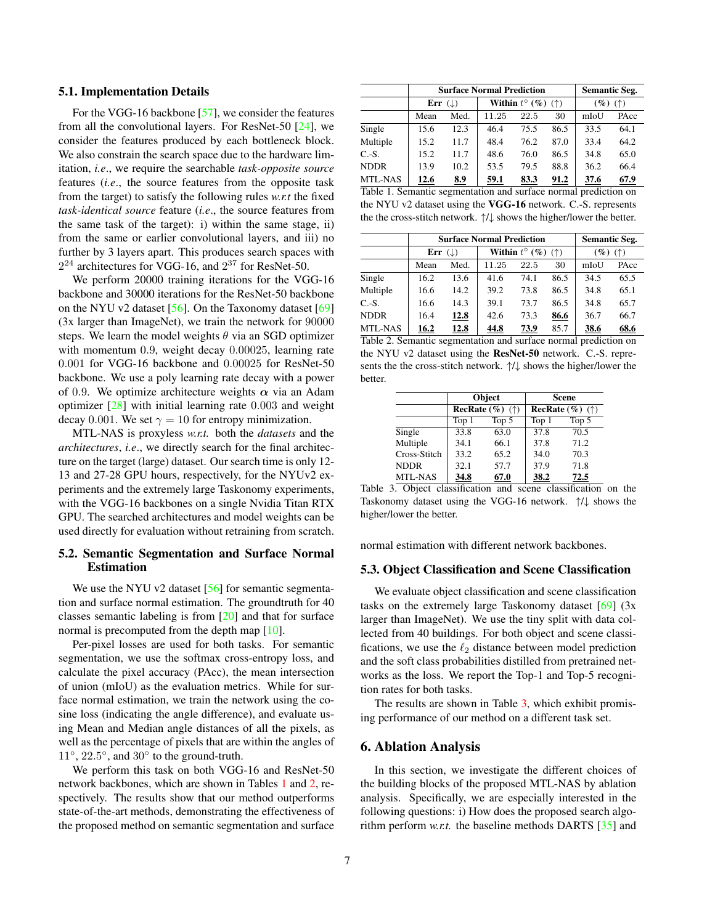#### <span id="page-6-3"></span>5.1. Implementation Details

For the VGG-16 backbone [\[57\]](#page-9-0), we consider the features from all the convolutional layers. For ResNet-50 [\[24\]](#page-8-0), we consider the features produced by each bottleneck block. We also constrain the search space due to the hardware limitation, *i.e*., we require the searchable *task-opposite source* features (*i.e*., the source features from the opposite task from the target) to satisfy the following rules *w.r.t* the fixed *task-identical source* feature (*i.e*., the source features from the same task of the target): i) within the same stage, ii) from the same or earlier convolutional layers, and iii) no further by 3 layers apart. This produces search spaces with  $2^{24}$  architectures for VGG-16, and  $2^{37}$  for ResNet-50.

We perform 20000 training iterations for the VGG-16 backbone and 30000 iterations for the ResNet-50 backbone on the NYU v2 dataset [\[56\]](#page-9-33). On the Taxonomy dataset [\[69\]](#page-9-34) (3x larger than ImageNet), we train the network for 90000 steps. We learn the model weights  $\theta$  via an SGD optimizer with momentum 0.9, weight decay 0.00025, learning rate 0.001 for VGG-16 backbone and 0.00025 for ResNet-50 backbone. We use a poly learning rate decay with a power of 0.9. We optimize architecture weights  $\alpha$  via an Adam optimizer [\[28\]](#page-8-34) with initial learning rate 0.003 and weight decay 0.001. We set  $\gamma = 10$  for entropy minimization.

MTL-NAS is proxyless *w.r.t.* both the *datasets* and the *architectures*, *i.e*., we directly search for the final architecture on the target (large) dataset. Our search time is only 12- 13 and 27-28 GPU hours, respectively, for the NYUv2 experiments and the extremely large Taskonomy experiments, with the VGG-16 backbones on a single Nvidia Titan RTX GPU. The searched architectures and model weights can be used directly for evaluation without retraining from scratch.

## 5.2. Semantic Segmentation and Surface Normal **Estimation**

We use the NYU v2 dataset [\[56\]](#page-9-33) for semantic segmentation and surface normal estimation. The groundtruth for 40 classes semantic labeling is from [\[20\]](#page-8-35) and that for surface normal is precomputed from the depth map [\[10\]](#page-8-30).

Per-pixel losses are used for both tasks. For semantic segmentation, we use the softmax cross-entropy loss, and calculate the pixel accuracy (PAcc), the mean intersection of union (mIoU) as the evaluation metrics. While for surface normal estimation, we train the network using the cosine loss (indicating the angle difference), and evaluate using Mean and Median angle distances of all the pixels, as well as the percentage of pixels that are within the angles of 11°, 22.5°, and 30° to the ground-truth.

We perform this task on both VGG-16 and ResNet-50 network backbones, which are shown in Tables [1](#page-6-0) and [2,](#page-6-1) respectively. The results show that our method outperforms state-of-the-art methods, demonstrating the effectiveness of the proposed method on semantic segmentation and surface

|                        |                      | <b>Surface Normal Prediction</b> | <b>Semantic Seg.</b>                                            |      |      |            |      |
|------------------------|----------------------|----------------------------------|-----------------------------------------------------------------|------|------|------------|------|
|                        | Err $( \downarrow )$ |                                  | Within $t^{\circ}$ (%) (†)                                      |      |      | $(\%)$ (†) |      |
|                        | Med.<br>Mean         |                                  | 11.25                                                           | 22.5 | 30   | mIoU       | PAcc |
| Single                 | 15.6                 | 12.3                             | 46.4                                                            | 75.5 | 86.5 | 33.5       | 64.1 |
| Multiple               | 15.2                 | 11.7                             | 48.4                                                            | 76.2 | 87.0 | 33.4       | 64.2 |
| $C.-S.$                | 15.2                 | 11.7                             | 48.6                                                            | 76.0 | 86.5 | 34.8       | 65.0 |
| <b>NDDR</b>            | 13.9                 | 10.2                             | 53.5                                                            | 79.5 | 88.8 | 36.2       | 66.4 |
| MTL-NAS<br>$T_2$ kla 1 | 12.6                 | <u>8.9</u>                       | 59.1<br>Computing compartation and quitage normal nucliation on | 83.3 | 91.2 | 37.6       | 67.9 |

<span id="page-6-0"></span>Table 1. Semantic segmentation and surface normal prediction on the NYU v2 dataset using the VGG-16 network. C.-S. represents the the cross-stitch network. ↑/↓ shows the higher/lower the better.

|             |                    | <b>Surface Normal Prediction</b> | <b>Semantic Seg.</b>       |      |            |      |      |
|-------------|--------------------|----------------------------------|----------------------------|------|------------|------|------|
|             | Err $(\downarrow)$ |                                  | Within $t^{\circ}$ (%) (†) |      | $(\%)$ (†) |      |      |
|             | Med.<br>Mean       |                                  | 11.25                      | 22.5 | 30         | mIoU | PAcc |
| Single      | 16.2               | 13.6                             | 41.6                       | 74.1 | 86.5       | 34.5 | 65.5 |
| Multiple    | 16.6               | 14.2                             | 39.2                       | 73.8 | 86.5       | 34.8 | 65.1 |
| $C.-S.$     | 16.6               | 14.3                             | 39.1                       | 73.7 | 86.5       | 34.8 | 65.7 |
| <b>NDDR</b> | 16.4               | 12.8                             | 42.6                       | 73.3 | 86.6       | 36.7 | 66.7 |
| MTL-NAS     | 16.2               | 12.8                             | 44.8                       | 73.9 | 85.7       | 38.6 | 68.6 |

<span id="page-6-1"></span>

| Table 2. Semantic segmentation and surface normal prediction on                      |
|--------------------------------------------------------------------------------------|
| the NYU v2 dataset using the <b>ResNet-50</b> network. C.-S. repre-                  |
| sents the the cross-stitch network. $\uparrow/\downarrow$ shows the higher/lower the |
| better.                                                                              |

|              |       | Object                               | <b>Scene</b>                         |       |  |  |
|--------------|-------|--------------------------------------|--------------------------------------|-------|--|--|
|              |       | <b>RecRate</b> $(\%)$ ( $\uparrow$ ) | <b>RecRate</b> $(\%)$ ( $\uparrow$ ) |       |  |  |
|              | Top 1 | Top 5                                | Top 1                                | Top 5 |  |  |
| Single       | 33.8  | 63.0                                 | 37.8                                 | 70.5  |  |  |
| Multiple     | 34.1  | 66.1                                 | 37.8                                 | 71.2  |  |  |
| Cross-Stitch | 33.2  | 65.2                                 | 34.0                                 | 70.3  |  |  |
| <b>NDDR</b>  | 32.1  | 57.7                                 | 37.9                                 | 71.8  |  |  |
| MTL-NAS      | 34.8  | 67.0                                 | 38.2                                 | 72.5  |  |  |

<span id="page-6-2"></span>Table 3. Object classification and scene classification on the Taskonomy dataset using the VGG-16 network. ↑/↓ shows the higher/lower the better.

normal estimation with different network backbones.

## 5.3. Object Classification and Scene Classification

We evaluate object classification and scene classification tasks on the extremely large Taskonomy dataset  $[69]$  (3x larger than ImageNet). We use the tiny split with data collected from 40 buildings. For both object and scene classifications, we use the  $\ell_2$  distance between model prediction and the soft class probabilities distilled from pretrained networks as the loss. We report the Top-1 and Top-5 recognition rates for both tasks.

The results are shown in Table [3,](#page-6-2) which exhibit promising performance of our method on a different task set.

## 6. Ablation Analysis

In this section, we investigate the different choices of the building blocks of the proposed MTL-NAS by ablation analysis. Specifically, we are especially interested in the following questions: i) How does the proposed search algorithm perform *w.r.t.* the baseline methods DARTS [\[35\]](#page-8-7) and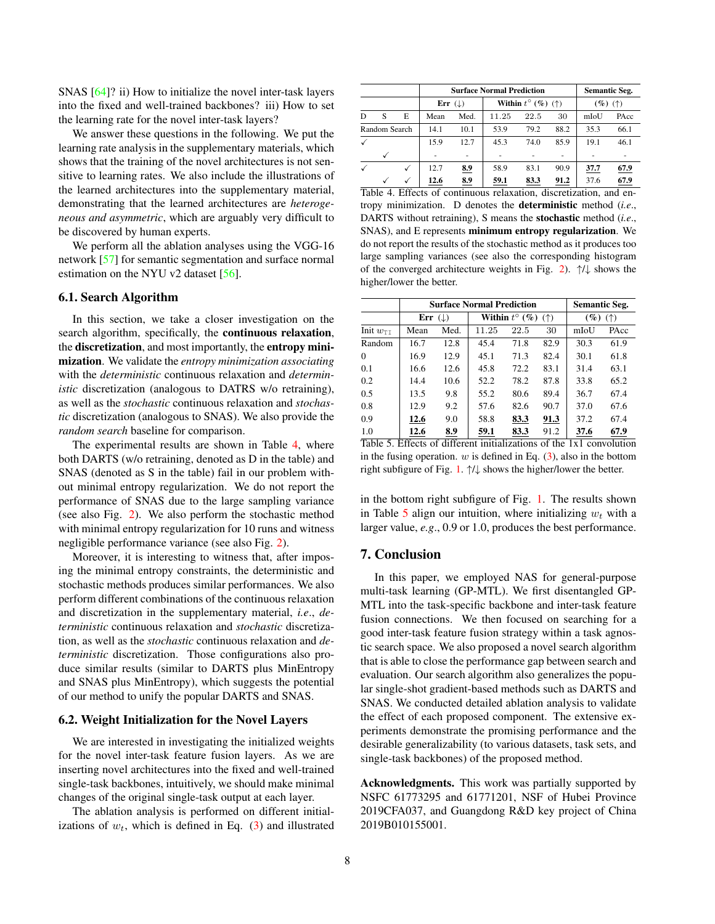<span id="page-7-2"></span>SNAS [\[64\]](#page-9-8)? ii) How to initialize the novel inter-task layers into the fixed and well-trained backbones? iii) How to set the learning rate for the novel inter-task layers?

We answer these questions in the following. We put the learning rate analysis in the supplementary materials, which shows that the training of the novel architectures is not sensitive to learning rates. We also include the illustrations of the learned architectures into the supplementary material, demonstrating that the learned architectures are *heterogeneous and asymmetric*, which are arguably very difficult to be discovered by human experts.

We perform all the ablation analyses using the VGG-16 network [\[57\]](#page-9-0) for semantic segmentation and surface normal estimation on the NYU v2 dataset [\[56\]](#page-9-33).

#### 6.1. Search Algorithm

In this section, we take a closer investigation on the search algorithm, specifically, the continuous relaxation, the discretization, and most importantly, the entropy minimization. We validate the *entropy minimization associating* with the *deterministic* continuous relaxation and *deterministic* discretization (analogous to DATRS w/o retraining), as well as the *stochastic* continuous relaxation and *stochastic* discretization (analogous to SNAS). We also provide the *random search* baseline for comparison.

The experimental results are shown in Table [4,](#page-7-0) where both DARTS (w/o retraining, denoted as D in the table) and SNAS (denoted as S in the table) fail in our problem without minimal entropy regularization. We do not report the performance of SNAS due to the large sampling variance (see also Fig. [2\)](#page-4-7). We also perform the stochastic method with minimal entropy regularization for 10 runs and witness negligible performance variance (see also Fig. [2\)](#page-4-7).

Moreover, it is interesting to witness that, after imposing the minimal entropy constraints, the deterministic and stochastic methods produces similar performances. We also perform different combinations of the continuous relaxation and discretization in the supplementary material, *i.e*., *deterministic* continuous relaxation and *stochastic* discretization, as well as the *stochastic* continuous relaxation and *deterministic* discretization. Those configurations also produce similar results (similar to DARTS plus MinEntropy and SNAS plus MinEntropy), which suggests the potential of our method to unify the popular DARTS and SNAS.

#### 6.2. Weight Initialization for the Novel Layers

We are interested in investigating the initialized weights for the novel inter-task feature fusion layers. As we are inserting novel architectures into the fixed and well-trained single-task backbones, intuitively, we should make minimal changes of the original single-task output at each layer.

The ablation analysis is performed on different initializations of  $w_t$ , which is defined in Eq. [\(3\)](#page-3-3) and illustrated

|               |   |      |                      | <b>Surface Normal Prediction</b> | <b>Semantic Seg.</b>                  |      |      |            |      |
|---------------|---|------|----------------------|----------------------------------|---------------------------------------|------|------|------------|------|
|               |   |      | Err $( \downarrow )$ |                                  | Within $t^{\circ}$ (%) ( $\uparrow$ ) |      |      | $(\%)$ (†) |      |
| D             | S | E    | Mean                 | Med.                             | 11.25                                 | 22.5 | 30   | mIoU       | PAcc |
| Random Search |   | 14.1 | 10.1                 | 53.9                             | 79.2                                  | 88.2 | 35.3 | 66.1       |      |
|               |   |      | 15.9                 | 12.7                             | 45.3                                  | 74.0 | 85.9 | 19.1       | 46.1 |
|               |   |      |                      |                                  |                                       |      |      |            |      |
|               |   |      | 12.7                 | 8.9                              | 58.9                                  | 83.1 | 90.9 | 37.7       | 67.9 |
|               |   |      | 12.6                 | 8.9                              | 59.1                                  | 83.3 | 91.2 | 37.6       | 67.9 |

<span id="page-7-0"></span>Table 4. Effects of continuous relaxation, discretization, and entropy minimization. D denotes the deterministic method (*i.e*., DARTS without retraining), S means the stochastic method (*i.e*., SNAS), and E represents minimum entropy regularization. We do not report the results of the stochastic method as it produces too large sampling variances (see also the corresponding histogram of the converged architecture weights in Fig. [2\)](#page-4-7).  $\uparrow/\downarrow$  shows the higher/lower the better.

|                      |              | <b>Surface Normal Prediction</b> | <b>Semantic Seg.</b>                                               |      |      |                          |      |
|----------------------|--------------|----------------------------------|--------------------------------------------------------------------|------|------|--------------------------|------|
|                      | (L)<br>Err   |                                  | Within $t^{\circ}$ (%)<br>$($ <sup><math>\uparrow</math></sup> $)$ |      |      | $(\%)$<br>$($ $\uparrow$ |      |
| Init $w_{\text{II}}$ | Med.<br>Mean |                                  | 11.25                                                              | 22.5 | 30   | mIoU                     | PAcc |
| Random               | 16.7         | 12.8                             | 45.4                                                               | 71.8 | 82.9 | 30.3                     | 61.9 |
| $\Omega$             | 16.9         | 12.9                             | 45.1                                                               | 71.3 | 82.4 | 30.1                     | 61.8 |
| 0.1                  | 16.6         | 12.6                             | 45.8                                                               | 72.2 | 83.1 | 31.4                     | 63.1 |
| 0.2                  | 14.4         | 10.6                             | 52.2                                                               | 78.2 | 87.8 | 33.8                     | 65.2 |
| 0.5                  | 13.5         | 9.8                              | 55.2                                                               | 80.6 | 89.4 | 36.7                     | 67.4 |
| 0.8                  | 12.9         | 9.2                              | 57.6                                                               | 82.6 | 90.7 | 37.0                     | 67.6 |
| 0.9                  | 12.6         | 9.0                              | 58.8                                                               | 83.3 | 91.3 | 37.2                     | 67.4 |
| 1.0                  | 12.6         | 8.9                              | 59.1                                                               | 83.3 | 91.2 | 37.6                     | 67.9 |

<span id="page-7-1"></span>Table 5. Effects of different initializations of the 1x1 convolution in the fusing operation.  $w$  is defined in Eq. [\(3\)](#page-3-3), also in the bottom right subfigure of Fig. [1.](#page-1-0) ↑/↓ shows the higher/lower the better.

in the bottom right subfigure of Fig. [1.](#page-1-0) The results shown in Table [5](#page-7-1) align our intuition, where initializing  $w_t$  with a larger value, *e.g*., 0.9 or 1.0, produces the best performance.

## 7. Conclusion

In this paper, we employed NAS for general-purpose multi-task learning (GP-MTL). We first disentangled GP-MTL into the task-specific backbone and inter-task feature fusion connections. We then focused on searching for a good inter-task feature fusion strategy within a task agnostic search space. We also proposed a novel search algorithm that is able to close the performance gap between search and evaluation. Our search algorithm also generalizes the popular single-shot gradient-based methods such as DARTS and SNAS. We conducted detailed ablation analysis to validate the effect of each proposed component. The extensive experiments demonstrate the promising performance and the desirable generalizability (to various datasets, task sets, and single-task backbones) of the proposed method.

Acknowledgments. This work was partially supported by NSFC 61773295 and 61771201, NSF of Hubei Province 2019CFA037, and Guangdong R&D key project of China 2019B010155001.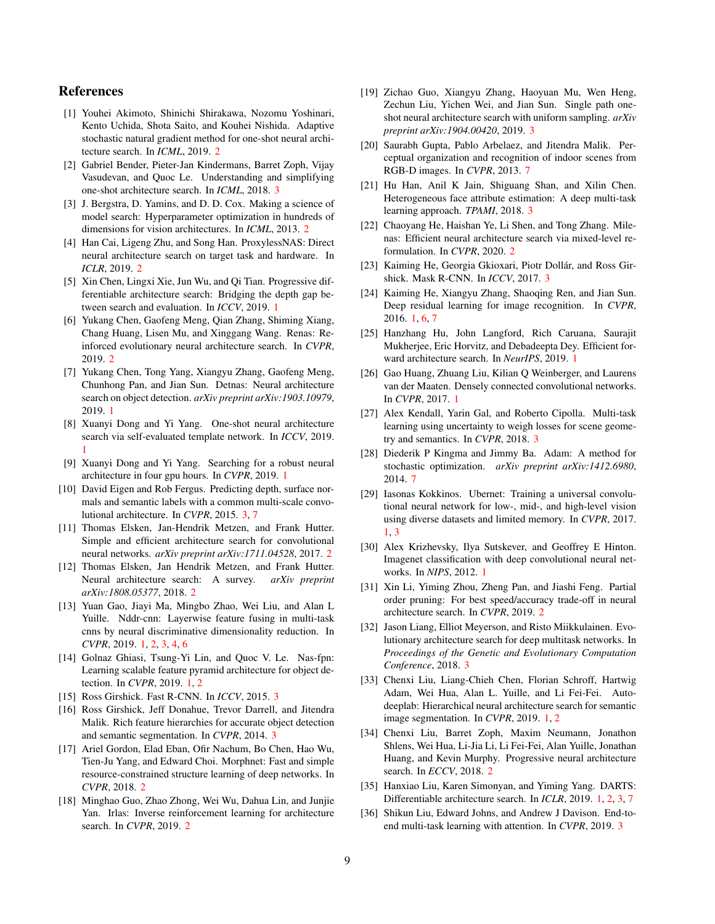## References

- <span id="page-8-23"></span>[1] Youhei Akimoto, Shinichi Shirakawa, Nozomu Yoshinari, Kento Uchida, Shota Saito, and Kouhei Nishida. Adaptive stochastic natural gradient method for one-shot neural architecture search. In *ICML*, 2019. [2](#page-1-2)
- <span id="page-8-24"></span>[2] Gabriel Bender, Pieter-Jan Kindermans, Barret Zoph, Vijay Vasudevan, and Quoc Le. Understanding and simplifying one-shot architecture search. In *ICML*, 2018. [3](#page-2-3)
- <span id="page-8-19"></span>[3] J. Bergstra, D. Yamins, and D. D. Cox. Making a science of model search: Hyperparameter optimization in hundreds of dimensions for vision architectures. In *ICML*, 2013. [2](#page-1-2)
- <span id="page-8-13"></span>[4] Han Cai, Ligeng Zhu, and Song Han. ProxylessNAS: Direct neural architecture search on target task and hardware. In *ICLR*, 2019. [2](#page-1-2)
- <span id="page-8-3"></span>[5] Xin Chen, Lingxi Xie, Jun Wu, and Qi Tian. Progressive differentiable architecture search: Bridging the depth gap between search and evaluation. In *ICCV*, 2019. [1](#page-0-2)
- <span id="page-8-14"></span>[6] Yukang Chen, Gaofeng Meng, Qian Zhang, Shiming Xiang, Chang Huang, Lisen Mu, and Xinggang Wang. Renas: Reinforced evolutionary neural architecture search. In *CVPR*, 2019. [2](#page-1-2)
- <span id="page-8-8"></span>[7] Yukang Chen, Tong Yang, Xiangyu Zhang, Gaofeng Meng, Chunhong Pan, and Jian Sun. Detnas: Neural architecture search on object detection. *arXiv preprint arXiv:1903.10979*, 2019. [1](#page-0-2)
- <span id="page-8-4"></span>[8] Xuanyi Dong and Yi Yang. One-shot neural architecture search via self-evaluated template network. In *ICCV*, 2019. [1](#page-0-2)
- <span id="page-8-5"></span>[9] Xuanyi Dong and Yi Yang. Searching for a robust neural architecture in four gpu hours. In *CVPR*, 2019. [1](#page-0-2)
- <span id="page-8-30"></span>[10] David Eigen and Rob Fergus. Predicting depth, surface normals and semantic labels with a common multi-scale convolutional architecture. In *CVPR*, 2015. [3,](#page-2-3) [7](#page-6-3)
- <span id="page-8-21"></span>[11] Thomas Elsken, Jan-Hendrik Metzen, and Frank Hutter. Simple and efficient architecture search for convolutional neural networks. *arXiv preprint arXiv:1711.04528*, 2017. [2](#page-1-2)
- <span id="page-8-15"></span>[12] Thomas Elsken, Jan Hendrik Metzen, and Frank Hutter. Neural architecture search: A survey. *arXiv preprint arXiv:1808.05377*, 2018. [2](#page-1-2)
- <span id="page-8-12"></span>[13] Yuan Gao, Jiayi Ma, Mingbo Zhao, Wei Liu, and Alan L Yuille. Nddr-cnn: Layerwise feature fusing in multi-task cnns by neural discriminative dimensionality reduction. In *CVPR*, 2019. [1,](#page-0-2) [2,](#page-1-2) [3,](#page-2-3) [4,](#page-3-6) [6](#page-5-5)
- <span id="page-8-9"></span>[14] Golnaz Ghiasi, Tsung-Yi Lin, and Quoc V. Le. Nas-fpn: Learning scalable feature pyramid architecture for object detection. In *CVPR*, 2019. [1,](#page-0-2) [2](#page-1-2)
- <span id="page-8-27"></span>[15] Ross Girshick. Fast R-CNN. In *ICCV*, 2015. [3](#page-2-3)
- <span id="page-8-28"></span>[16] Ross Girshick, Jeff Donahue, Trevor Darrell, and Jitendra Malik. Rich feature hierarchies for accurate object detection and semantic segmentation. In *CVPR*, 2014. [3](#page-2-3)
- <span id="page-8-22"></span>[17] Ariel Gordon, Elad Eban, Ofir Nachum, Bo Chen, Hao Wu, Tien-Ju Yang, and Edward Choi. Morphnet: Fast and simple resource-constrained structure learning of deep networks. In *CVPR*, 2018. [2](#page-1-2)
- <span id="page-8-20"></span>[18] Minghao Guo, Zhao Zhong, Wei Wu, Dahua Lin, and Junjie Yan. Irlas: Inverse reinforcement learning for architecture search. In *CVPR*, 2019. [2](#page-1-2)
- <span id="page-8-25"></span>[19] Zichao Guo, Xiangyu Zhang, Haoyuan Mu, Wen Heng, Zechun Liu, Yichen Wei, and Jian Sun. Single path oneshot neural architecture search with uniform sampling. *arXiv preprint arXiv:1904.00420*, 2019. [3](#page-2-3)
- <span id="page-8-35"></span>[20] Saurabh Gupta, Pablo Arbelaez, and Jitendra Malik. Perceptual organization and recognition of indoor scenes from RGB-D images. In *CVPR*, 2013. [7](#page-6-3)
- <span id="page-8-31"></span>[21] Hu Han, Anil K Jain, Shiguang Shan, and Xilin Chen. Heterogeneous face attribute estimation: A deep multi-task learning approach. *TPAMI*, 2018. [3](#page-2-3)
- <span id="page-8-16"></span>[22] Chaoyang He, Haishan Ye, Li Shen, and Tong Zhang. Milenas: Efficient neural architecture search via mixed-level reformulation. In *CVPR*, 2020. [2](#page-1-2)
- <span id="page-8-29"></span>[23] Kaiming He, Georgia Gkioxari, Piotr Dollár, and Ross Girshick. Mask R-CNN. In *ICCV*, 2017. [3](#page-2-3)
- <span id="page-8-0"></span>[24] Kaiming He, Xiangyu Zhang, Shaoqing Ren, and Jian Sun. Deep residual learning for image recognition. In *CVPR*, 2016. [1,](#page-0-2) [6,](#page-5-5) [7](#page-6-3)
- <span id="page-8-6"></span>[25] Hanzhang Hu, John Langford, Rich Caruana, Saurajit Mukherjee, Eric Horvitz, and Debadeepta Dey. Efficient forward architecture search. In *NeurIPS*, 2019. [1](#page-0-2)
- <span id="page-8-1"></span>[26] Gao Huang, Zhuang Liu, Kilian Q Weinberger, and Laurens van der Maaten. Densely connected convolutional networks. In *CVPR*, 2017. [1](#page-0-2)
- <span id="page-8-32"></span>[27] Alex Kendall, Yarin Gal, and Roberto Cipolla. Multi-task learning using uncertainty to weigh losses for scene geometry and semantics. In *CVPR*, 2018. [3](#page-2-3)
- <span id="page-8-34"></span>[28] Diederik P Kingma and Jimmy Ba. Adam: A method for stochastic optimization. *arXiv preprint arXiv:1412.6980*, 2014. [7](#page-6-3)
- <span id="page-8-11"></span>[29] Iasonas Kokkinos. Ubernet: Training a universal convolutional neural network for low-, mid-, and high-level vision using diverse datasets and limited memory. In *CVPR*, 2017. [1,](#page-0-2) [3](#page-2-3)
- <span id="page-8-2"></span>[30] Alex Krizhevsky, Ilya Sutskever, and Geoffrey E Hinton. Imagenet classification with deep convolutional neural networks. In *NIPS*, 2012. [1](#page-0-2)
- <span id="page-8-17"></span>[31] Xin Li, Yiming Zhou, Zheng Pan, and Jiashi Feng. Partial order pruning: For best speed/accuracy trade-off in neural architecture search. In *CVPR*, 2019. [2](#page-1-2)
- <span id="page-8-26"></span>[32] Jason Liang, Elliot Meyerson, and Risto Miikkulainen. Evolutionary architecture search for deep multitask networks. In *Proceedings of the Genetic and Evolutionary Computation Conference*, 2018. [3](#page-2-3)
- <span id="page-8-10"></span>[33] Chenxi Liu, Liang-Chieh Chen, Florian Schroff, Hartwig Adam, Wei Hua, Alan L. Yuille, and Li Fei-Fei. Autodeeplab: Hierarchical neural architecture search for semantic image segmentation. In *CVPR*, 2019. [1,](#page-0-2) [2](#page-1-2)
- <span id="page-8-18"></span>[34] Chenxi Liu, Barret Zoph, Maxim Neumann, Jonathon Shlens, Wei Hua, Li-Jia Li, Li Fei-Fei, Alan Yuille, Jonathan Huang, and Kevin Murphy. Progressive neural architecture search. In *ECCV*, 2018. [2](#page-1-2)
- <span id="page-8-7"></span>[35] Hanxiao Liu, Karen Simonyan, and Yiming Yang. DARTS: Differentiable architecture search. In *ICLR*, 2019. [1,](#page-0-2) [2,](#page-1-2) [3,](#page-2-3) [7](#page-6-3)
- <span id="page-8-33"></span>[36] Shikun Liu, Edward Johns, and Andrew J Davison. End-toend multi-task learning with attention. In *CVPR*, 2019. [3](#page-2-3)